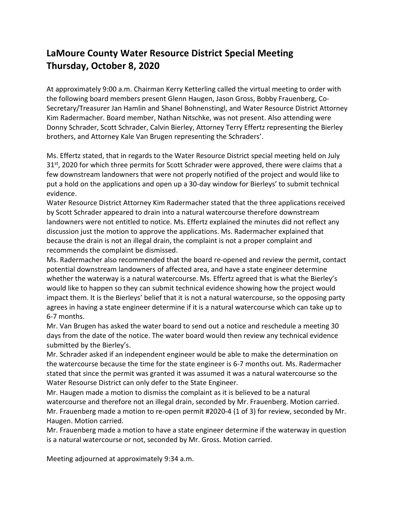## **LaMoure County Water Resource District Special Meeting Thursday, October 8, 2020**

At approximately 9:00 a.m. Chairman Kerry Ketterling called the virtual meeting to order with the following board members present Glenn Haugen, Jason Gross, Bobby Frauenberg, Co-Secretary/Treasurer Jan Hamlin and Shanel Bohnenstingl, and Water Resource District Attorney Kim Radermacher. Board member, Nathan Nitschke, was not present. Also attending were Donny Schrader, Scott Schrader, Calvin Bierley, Attorney Terry Effertz representing the Bierley brothers, and Attorney Kale Van Brugen representing the Schraders'.

Ms. Effertz stated, that in regards to the Water Resource District special meeting held on July  $31<sup>st</sup>$ , 2020 for which three permits for Scott Schrader were approved, there were claims that a few downstream landowners that were not properly notified of the project and would like to put a hold on the applications and open up a 30-day window for Bierleys' to submit technical evidence.

Water Resource District Attorney Kim Radermacher stated that the three applications received by Scott Schrader appeared to drain into a natural watercourse therefore downstream landowners were not entitled to notice. Ms. Effertz explained the minutes did not reflect any discussion just the motion to approve the applications. Ms. Radermacher explained that because the drain is not an illegal drain, the complaint is not a proper complaint and recommends the complaint be dismissed.

Ms. Radermacher also recommended that the board re-opened and review the permit, contact potential downstream landowners of affected area, and have a state engineer determine whether the waterway is a natural watercourse. Ms. Effertz agreed that is what the Bierley's would like to happen so they can submit technical evidence showing how the project would impact them. It is the Bierleys' belief that it is not a natural watercourse, so the opposing party agrees in having a state engineer determine if it is a natural watercourse which can take up to 6-7 months.

Mr. Van Brugen has asked the water board to send out a notice and reschedule a meeting 30 days from the date of the notice. The water board would then review any technical evidence submitted by the Bierley's.

Mr. Schrader asked if an independent engineer would be able to make the determination on the watercourse because the time for the state engineer is 6-7 months out. Ms. Radermacher stated that since the permit was granted it was assumed it was a natural watercourse so the Water Resourse District can only defer to the State Engineer.

Mr. Haugen made a motion to dismiss the complaint as it is believed to be a natural watercourse and therefore not an illegal drain, seconded by Mr. Frauenberg. Motion carried. Mr. Frauenberg made a motion to re-open permit #2020-4 (1 of 3) for review, seconded by Mr. Haugen. Motion carried.

Mr. Frauenberg made a motion to have a state engineer determine if the waterway in question is a natural watercourse or not, seconded by Mr. Gross. Motion carried.

Meeting adjourned at approximately 9:34 a.m.